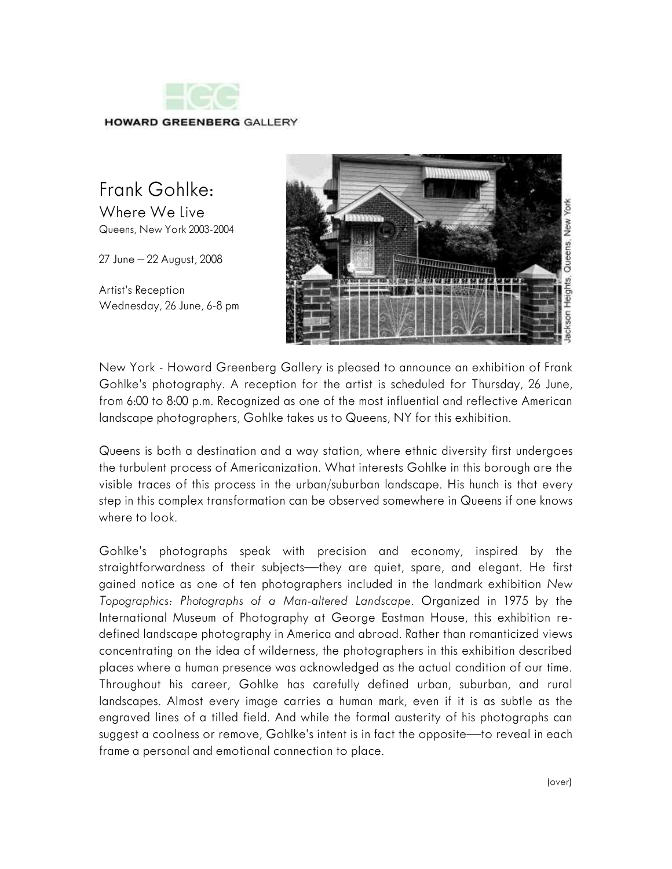

## Frank Gohlke:

Where We Live Queens, New York 2003-2004

27 June – 22 August, 2008

Artist's Reception Wednesday, 26 June, 6-8 pm



New York - Howard Greenberg Gallery is pleased to announce an exhibition of Frank Gohlke's photography. A reception for the artist is scheduled for Thursday, 26 June, from 6:00 to 8:00 p.m. Recognized as one of the most influential and reflective American landscape photographers, Gohlke takes us to Queens, NY for this exhibition.

Queens is both a destination and a way station, where ethnic diversity first undergoes the turbulent process of Americanization. What interests Gohlke in this borough are the visible traces of this process in the urban/suburban landscape. His hunch is that every step in this complex transformation can be observed somewhere in Queens if one knows where to look.

Gohlke's photographs speak with precision and economy, inspired by the straightforwardness of their subjects—they are quiet, spare, and elegant. He first gained notice as one of ten photographers included in the landmark exhibition *New Topographics: Photographs of a Man-altered Landscape*. Organized in 1975 by the International Museum of Photography at George Eastman House, this exhibition redefined landscape photography in America and abroad. Rather than romanticized views concentrating on the idea of wilderness, the photographers in this exhibition described places where a human presence was acknowledged as the actual condition of our time. Throughout his career, Gohlke has carefully defined urban, suburban, and rural landscapes. Almost every image carries a human mark, even if it is as subtle as the engraved lines of a tilled field. And while the formal austerity of his photographs can suggest a coolness or remove, Gohlke's intent is in fact the opposite—to reveal in each frame a personal and emotional connection to place.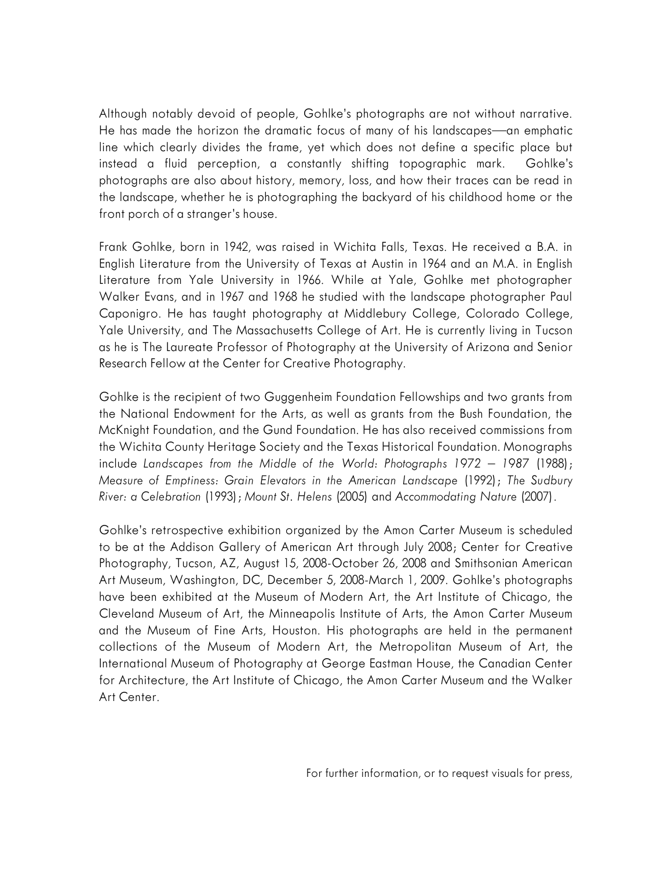Although notably devoid of people, Gohlke's photographs are not without narrative. He has made the horizon the dramatic focus of many of his landscapes—an emphatic line which clearly divides the frame, yet which does not define a specific place but instead a fluid perception, a constantly shifting topographic mark. Gohlke's photographs are also about history, memory, loss, and how their traces can be read in the landscape, whether he is photographing the backyard of his childhood home or the front porch of a stranger's house.

Frank Gohlke, born in 1942, was raised in Wichita Falls, Texas. He received a B.A. in English Literature from the University of Texas at Austin in 1964 and an M.A. in English Literature from Yale University in 1966. While at Yale, Gohlke met photographer Walker Evans, and in 1967 and 1968 he studied with the landscape photographer Paul Caponigro. He has taught photography at Middlebury College, Colorado College, Yale University, and The Massachusetts College of Art. He is currently living in Tucson as he is The Laureate Professor of Photography at the University of Arizona and Senior Research Fellow at the Center for Creative Photography.

Gohlke is the recipient of two Guggenheim Foundation Fellowships and two grants from the National Endowment for the Arts, as well as grants from the Bush Foundation, the McKnight Foundation, and the Gund Foundation. He has also received commissions from the Wichita County Heritage Society and the Texas Historical Foundation. Monographs include *Landscapes from the Middle of the World: Photographs 1972 – 1987* (1988); *Measure of Emptiness: Grain Elevators in the American Landscape* (1992); *The Sudbury River: a Celebration* (1993); *Mount St. Helens* (2005) and *Accommodating Nature* (2007).

Gohlke's retrospective exhibition organized by the Amon Carter Museum is scheduled to be at the Addison Gallery of American Art through July 2008; Center for Creative Photography, Tucson, AZ, August 15, 2008-October 26, 2008 and Smithsonian American Art Museum, Washington, DC, December 5, 2008-March 1, 2009. Gohlke's photographs have been exhibited at the Museum of Modern Art, the Art Institute of Chicago, the Cleveland Museum of Art, the Minneapolis Institute of Arts, the Amon Carter Museum and the Museum of Fine Arts, Houston. His photographs are held in the permanent collections of the Museum of Modern Art, the Metropolitan Museum of Art, the International Museum of Photography at George Eastman House, the Canadian Center for Architecture, the Art Institute of Chicago, the Amon Carter Museum and the Walker Art Center.